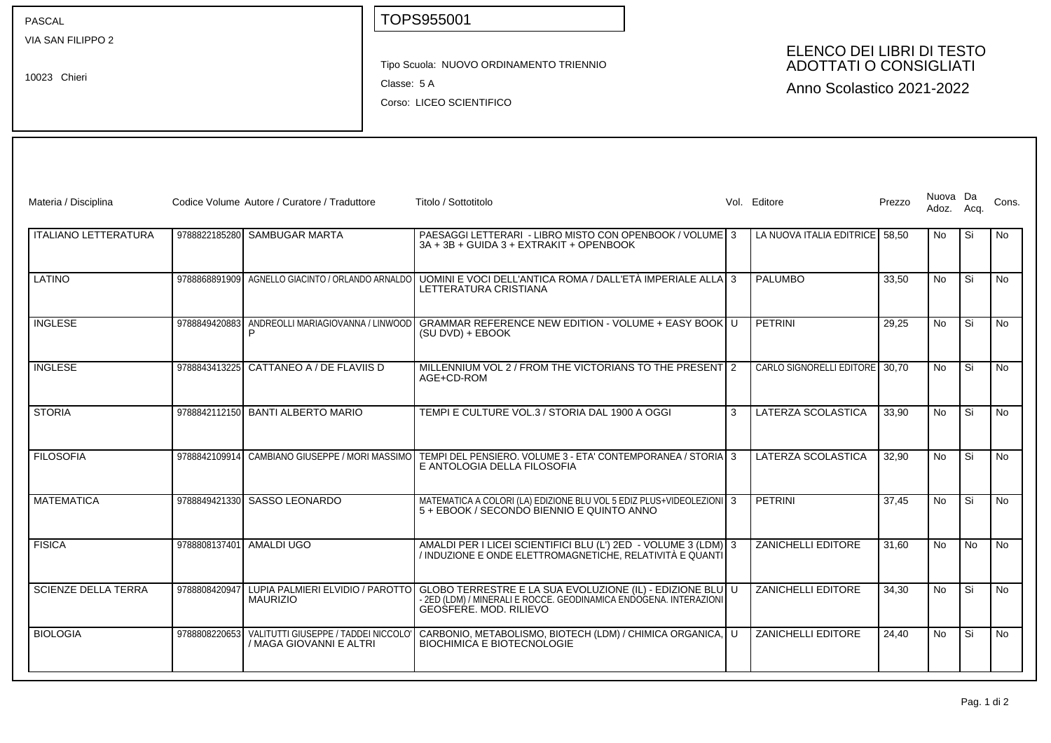PASCAL

10023 Chieri

VIA SAN FILIPPO 2

TOPS955001

Tipo Scuola: NUOVO ORDINAMENTO TRIENNIO

Classe: 5 A

Corso: LICEO SCIENTIFICO

## ELENCO DEI LIBRI DI TESTO ADOTTATI O CONSIGLIATI

Anno Scolastico 2021-2022

| Materia / Disciplina        |               | Codice Volume Autore / Curatore / Traduttore                    | Titolo / Sottotitolo                                                                                                                                                                      |   | Vol. Editore                   | Prezzo | Nuova Da<br>Adoz. | Aca  | Cons.     |
|-----------------------------|---------------|-----------------------------------------------------------------|-------------------------------------------------------------------------------------------------------------------------------------------------------------------------------------------|---|--------------------------------|--------|-------------------|------|-----------|
| <b>ITALIANO LETTERATURA</b> |               | 9788822185280 SAMBUGAR MARTA                                    | PAESAGGI LETTERARI - LIBRO MISTO CON OPENBOOK / VOLUME 3<br>3A + 3B + GUIDA 3 + EXTRAKIT + OPENBOOK                                                                                       |   | LA NUOVA ITALIA EDITRICE 58.50 |        | No.               | Si   | No        |
| <b>LATINO</b>               |               | 9788868891909 AGNELLO GIACINTO / ORLANDO ARNALDO                | UOMINI E VOCI DELL'ANTICA ROMA / DALL'ETÀ IMPERIALE ALLA 3<br>LETTERATURA CRISTIANA                                                                                                       |   | <b>PALUMBO</b>                 | 33,50  | No.               | l Si | No.       |
| <b>INGLESE</b>              |               | 9788849420883 ANDREOLLI MARIAGIOVANNA / LINWOOD<br>P            | GRAMMAR REFERENCE NEW EDITION - VOLUME + EASY BOOK U<br>(SU DVD) + EBOOK                                                                                                                  |   | <b>PETRINI</b>                 | 29.25  | <b>No</b>         | Si   | <b>No</b> |
| <b>INGLESE</b>              |               | 9788843413225 CATTANEO A / DE FLAVIIS D                         | MILLENNIUM VOL 2 / FROM THE VICTORIANS TO THE PRESENT 2<br>AGE+CD-ROM                                                                                                                     |   | CARLO SIGNORELLI EDITORE 30,70 |        | No.               | Si   | <b>No</b> |
| <b>STORIA</b>               |               | 9788842112150 BANTI ALBERTO MARIO                               | TEMPI E CULTURE VOL.3 / STORIA DAL 1900 A OGGI                                                                                                                                            | 3 | LATERZA SCOLASTICA             | 33.90  | <b>No</b>         | Si   | <b>No</b> |
| <b>FILOSOFIA</b>            | 9788842109914 | CAMBIANO GIUSEPPE / MORI MASSIMO                                | TEMPI DEL PENSIERO. VOLUME 3 - ETA' CONTEMPORANEA / STORIA 3<br>E ANTOLOGIA DELLA FILOSOFIA                                                                                               |   | LATERZA SCOLASTICA             | 32,90  | No.               | l Si | <b>No</b> |
| <b>MATEMATICA</b>           |               | 9788849421330 SASSO LEONARDO                                    | MATEMATICA A COLORI (LA) EDIZIONE BLU VOL 5 EDIZ PLUS+VIDEOLEZIONI 3<br>5 + EBOOK / SECONDO BIENNIO E QUINTO ANNO                                                                         |   | PETRINI                        | 37.45  | No.               | Si   | <b>No</b> |
| <b>FISICA</b>               |               | 9788808137401 AMALDI UGO                                        | AMALDI PER I LICEI SCIENTIFICI BLU (L') 2ED - VOLUME 3 (LDM) 3<br>/ INDUZIONE E ONDE ELETTROMAGNETÌCHE. RELATIVITÀ E QÙANTI                                                               |   | ZANICHELLI EDITORE             | 31.60  | <b>No</b>         | l No | <b>No</b> |
| <b>SCIENZE DELLA TERRA</b>  | 9788808420947 | <b>MAURIZIO</b>                                                 | LUPIA PALMIERI ELVIDIO / PAROTTO GLOBO TERRESTRE E LA SUA EVOLUZIONE (IL) - EDIZIONE BLU U<br>- 2ED (LDM) / MINERALI E ROCCE. GEODINAMICA ENDOGENA. INTERAZIONI<br>GEOSFERE, MOD. RILIEVO |   | ZANICHELLI EDITORE             | 34.30  | No.               | Si   | No.       |
| <b>BIOLOGIA</b>             | 9788808220653 | VALITUTTI GIUSEPPE / TADDEI NICCOLO'<br>/ MAGA GIOVANNI E ALTRI | CARBONIO, METABOLISMO, BIOTECH (LDM) / CHIMICA ORGANICA, U<br><b>BIOCHIMICA E BIOTECNOLOGIE</b>                                                                                           |   | <b>ZANICHELLI EDITORE</b>      | 24.40  | <b>No</b>         | Si   | No        |